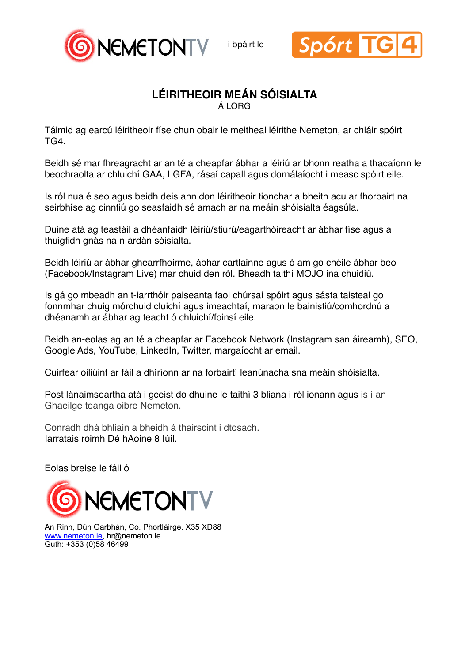i bpáirt le





## **LÉIRITHEOIR MEÁN SÓISIALTA**

Á LORG

Táimid ag earcú léiritheoir físe chun obair le meitheal léirithe Nemeton, ar chláir spóirt TG4.

Beidh sé mar fhreagracht ar an té a cheapfar ábhar a léiriú ar bhonn reatha a thacaíonn le beochraolta ar chluichí GAA, LGFA, rásaí capall agus dornálaíocht i measc spóirt eile.

Is ról nua é seo agus beidh deis ann don léiritheoir tionchar a bheith acu ar fhorbairt na seirbhíse ag cinntiú go seasfaidh sé amach ar na meáin shóisialta éagsúla.

Duine atá ag teastáil a dhéanfaidh léiriú/stiúrú/eagarthóireacht ar ábhar físe agus a thuigfidh gnás na n-árdán sóisialta.

Beidh léiriú ar ábhar ghearrfhoirme, ábhar cartlainne agus ó am go chéile ábhar beo (Facebook/Instagram Live) mar chuid den ról. Bheadh taithí MOJO ina chuidiú.

Is gá go mbeadh an t-iarrthóir paiseanta faoi chúrsaí spóirt agus sásta taisteal go fonnmhar chuig mórchuid cluichí agus imeachtaí, maraon le bainistiú/comhordnú a dhéanamh ar ábhar ag teacht ó chluichí/foinsí eile.

Beidh an-eolas ag an té a cheapfar ar Facebook Network (Instagram san áireamh), SEO, Google Ads, YouTube, LinkedIn, Twitter, margaíocht ar email.

Cuirfear oiliúint ar fáil a dhíríonn ar na forbairtí leanúnacha sna meáin shóisialta.

Post lánaimseartha atá i gceist do dhuine le taithí 3 bliana i ról ionann agus is í an Ghaeilge teanga oibre Nemeton.

Conradh dhá bhliain a bheidh á thairscint i dtosach. Iarratais roimh Dé hAoine 8 Iúil.

Eolas breise le fáil ó



An Rinn, Dún Garbhán, Co. Phortláirge. X35 XD88 [www.nemeton.ie](http://www.nemeton.ie), hr@nemeton.ie Guth: +353 (0)58 46499